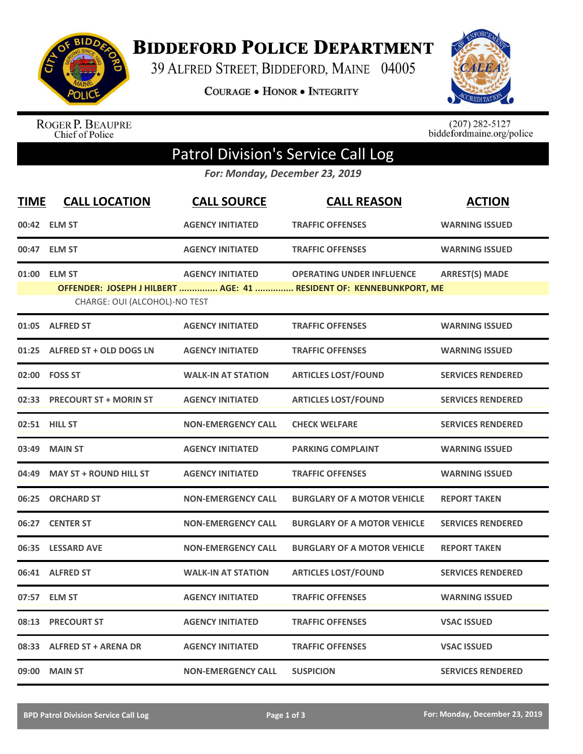

**BIDDEFORD POLICE DEPARTMENT** 

39 ALFRED STREET, BIDDEFORD, MAINE 04005

**COURAGE . HONOR . INTEGRITY** 



ROGER P. BEAUPRE<br>Chief of Police

 $(207)$  282-5127<br>biddefordmaine.org/police

## Patrol Division's Service Call Log

*For: Monday, December 23, 2019*

| <b>TIME</b> | <b>CALL LOCATION</b>          | <b>CALL SOURCE</b>        | <b>CALL REASON</b>                                                  | <b>ACTION</b>            |
|-------------|-------------------------------|---------------------------|---------------------------------------------------------------------|--------------------------|
|             | 00:42 ELM ST                  | <b>AGENCY INITIATED</b>   | <b>TRAFFIC OFFENSES</b>                                             | <b>WARNING ISSUED</b>    |
| 00:47       | <b>ELM ST</b>                 | <b>AGENCY INITIATED</b>   | <b>TRAFFIC OFFENSES</b>                                             | <b>WARNING ISSUED</b>    |
| 01:00       | <b>ELM ST</b>                 | <b>AGENCY INITIATED</b>   | <b>OPERATING UNDER INFLUENCE</b>                                    | <b>ARREST(S) MADE</b>    |
|             | CHARGE: OUI (ALCOHOL)-NO TEST |                           | OFFENDER: JOSEPH J HILBERT  AGE: 41  RESIDENT OF: KENNEBUNKPORT, ME |                          |
| 01:05       | <b>ALFRED ST</b>              | <b>AGENCY INITIATED</b>   | <b>TRAFFIC OFFENSES</b>                                             | <b>WARNING ISSUED</b>    |
| 01:25       | ALFRED ST + OLD DOGS LN       | <b>AGENCY INITIATED</b>   | <b>TRAFFIC OFFENSES</b>                                             | <b>WARNING ISSUED</b>    |
|             | 02:00 FOSS ST                 | <b>WALK-IN AT STATION</b> | <b>ARTICLES LOST/FOUND</b>                                          | <b>SERVICES RENDERED</b> |
| 02:33       | <b>PRECOURT ST + MORIN ST</b> | <b>AGENCY INITIATED</b>   | <b>ARTICLES LOST/FOUND</b>                                          | <b>SERVICES RENDERED</b> |
|             | 02:51 HILL ST                 | <b>NON-EMERGENCY CALL</b> | <b>CHECK WELFARE</b>                                                | <b>SERVICES RENDERED</b> |
| 03:49       | <b>MAIN ST</b>                | <b>AGENCY INITIATED</b>   | <b>PARKING COMPLAINT</b>                                            | <b>WARNING ISSUED</b>    |
| 04:49       | <b>MAY ST + ROUND HILL ST</b> | <b>AGENCY INITIATED</b>   | <b>TRAFFIC OFFENSES</b>                                             | <b>WARNING ISSUED</b>    |
| 06:25       | <b>ORCHARD ST</b>             | <b>NON-EMERGENCY CALL</b> | <b>BURGLARY OF A MOTOR VEHICLE</b>                                  | <b>REPORT TAKEN</b>      |
| 06:27       | <b>CENTER ST</b>              | <b>NON-EMERGENCY CALL</b> | <b>BURGLARY OF A MOTOR VEHICLE</b>                                  | <b>SERVICES RENDERED</b> |
| 06:35       | <b>LESSARD AVE</b>            | <b>NON-EMERGENCY CALL</b> | <b>BURGLARY OF A MOTOR VEHICLE</b>                                  | <b>REPORT TAKEN</b>      |
| 06:41       | <b>ALFRED ST</b>              | <b>WALK-IN AT STATION</b> | <b>ARTICLES LOST/FOUND</b>                                          | <b>SERVICES RENDERED</b> |
| 07:57       | <b>ELM ST</b>                 | <b>AGENCY INITIATED</b>   | <b>TRAFFIC OFFENSES</b>                                             | <b>WARNING ISSUED</b>    |
| 08:13       | <b>PRECOURT ST</b>            | <b>AGENCY INITIATED</b>   | <b>TRAFFIC OFFENSES</b>                                             | <b>VSAC ISSUED</b>       |
| 08:33       | <b>ALFRED ST + ARENA DR</b>   | <b>AGENCY INITIATED</b>   | <b>TRAFFIC OFFENSES</b>                                             | <b>VSAC ISSUED</b>       |
| 09:00       | <b>MAIN ST</b>                | <b>NON-EMERGENCY CALL</b> | <b>SUSPICION</b>                                                    | <b>SERVICES RENDERED</b> |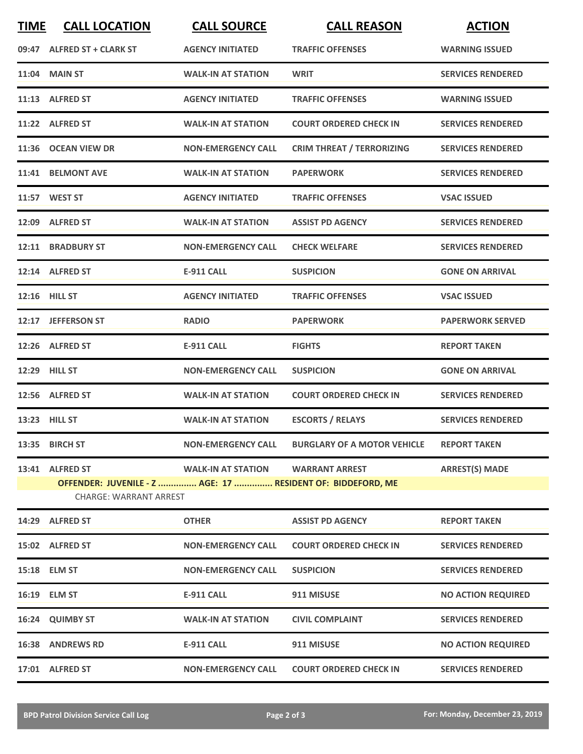| <b>TIME</b> | <b>CALL LOCATION</b>                                                                                            | <b>CALL SOURCE</b>        | <b>CALL REASON</b>                 | <b>ACTION</b>             |
|-------------|-----------------------------------------------------------------------------------------------------------------|---------------------------|------------------------------------|---------------------------|
| 09:47       | <b>ALFRED ST + CLARK ST</b>                                                                                     | <b>AGENCY INITIATED</b>   | <b>TRAFFIC OFFENSES</b>            | <b>WARNING ISSUED</b>     |
|             | 11:04 MAIN ST                                                                                                   | <b>WALK-IN AT STATION</b> | <b>WRIT</b>                        | <b>SERVICES RENDERED</b>  |
|             | 11:13 ALFRED ST                                                                                                 | <b>AGENCY INITIATED</b>   | <b>TRAFFIC OFFENSES</b>            | <b>WARNING ISSUED</b>     |
|             | 11:22 ALFRED ST                                                                                                 | <b>WALK-IN AT STATION</b> | <b>COURT ORDERED CHECK IN</b>      | <b>SERVICES RENDERED</b>  |
| 11:36       | <b>OCEAN VIEW DR</b>                                                                                            | <b>NON-EMERGENCY CALL</b> | <b>CRIM THREAT / TERRORIZING</b>   | <b>SERVICES RENDERED</b>  |
|             | 11:41 BELMONT AVE                                                                                               | <b>WALK-IN AT STATION</b> | <b>PAPERWORK</b>                   | <b>SERVICES RENDERED</b>  |
|             | 11:57 WEST ST                                                                                                   | <b>AGENCY INITIATED</b>   | <b>TRAFFIC OFFENSES</b>            | <b>VSAC ISSUED</b>        |
|             | 12:09 ALFRED ST                                                                                                 | <b>WALK-IN AT STATION</b> | <b>ASSIST PD AGENCY</b>            | <b>SERVICES RENDERED</b>  |
|             | 12:11 BRADBURY ST                                                                                               | <b>NON-EMERGENCY CALL</b> | <b>CHECK WELFARE</b>               | <b>SERVICES RENDERED</b>  |
|             | 12:14 ALFRED ST                                                                                                 | <b>E-911 CALL</b>         | <b>SUSPICION</b>                   | <b>GONE ON ARRIVAL</b>    |
| 12:16       | <b>HILL ST</b>                                                                                                  | <b>AGENCY INITIATED</b>   | <b>TRAFFIC OFFENSES</b>            | <b>VSAC ISSUED</b>        |
| 12:17       | <b>JEFFERSON ST</b>                                                                                             | <b>RADIO</b>              | <b>PAPERWORK</b>                   | <b>PAPERWORK SERVED</b>   |
|             | 12:26 ALFRED ST                                                                                                 | <b>E-911 CALL</b>         | <b>FIGHTS</b>                      | <b>REPORT TAKEN</b>       |
| 12:29       | <b>HILL ST</b>                                                                                                  | <b>NON-EMERGENCY CALL</b> | <b>SUSPICION</b>                   | <b>GONE ON ARRIVAL</b>    |
| 12:56       | <b>ALFRED ST</b>                                                                                                | <b>WALK-IN AT STATION</b> | <b>COURT ORDERED CHECK IN</b>      | <b>SERVICES RENDERED</b>  |
|             | 13:23 HILL ST                                                                                                   | <b>WALK-IN AT STATION</b> | <b>ESCORTS / RELAYS</b>            | <b>SERVICES RENDERED</b>  |
|             | 13:35 BIRCH ST                                                                                                  | <b>NON-EMERGENCY CALL</b> | <b>BURGLARY OF A MOTOR VEHICLE</b> | <b>REPORT TAKEN</b>       |
|             | 13:41 ALFRED ST<br>OFFENDER: JUVENILE - Z  AGE: 17  RESIDENT OF: BIDDEFORD, ME<br><b>CHARGE: WARRANT ARREST</b> | <b>WALK-IN AT STATION</b> | <b>WARRANT ARREST</b>              | <b>ARREST(S) MADE</b>     |
|             | 14:29 ALFRED ST                                                                                                 | <b>OTHER</b>              | <b>ASSIST PD AGENCY</b>            | <b>REPORT TAKEN</b>       |
|             | 15:02 ALFRED ST                                                                                                 | <b>NON-EMERGENCY CALL</b> | <b>COURT ORDERED CHECK IN</b>      | <b>SERVICES RENDERED</b>  |
|             | 15:18 ELM ST                                                                                                    | <b>NON-EMERGENCY CALL</b> | <b>SUSPICION</b>                   | <b>SERVICES RENDERED</b>  |
|             | 16:19 ELM ST                                                                                                    | E-911 CALL                | 911 MISUSE                         | <b>NO ACTION REQUIRED</b> |

|       | 16:19 ELM ST      | <b>E-911 CALL</b>         | 911 MISUSE                    | <b>NO ACTION REQUIRED</b> |
|-------|-------------------|---------------------------|-------------------------------|---------------------------|
| 16:24 | <b>QUIMBY ST</b>  | <b>WALK-IN AT STATION</b> | <b>CIVIL COMPLAINT</b>        | <b>SERVICES RENDERED</b>  |
| 16:38 | <b>ANDREWS RD</b> | <b>E-911 CALL</b>         | 911 MISUSE                    | <b>NO ACTION REQUIRED</b> |
| 17:01 | <b>ALFRED ST</b>  | <b>NON-EMERGENCY CALL</b> | <b>COURT ORDERED CHECK IN</b> | <b>SERVICES RENDERED</b>  |